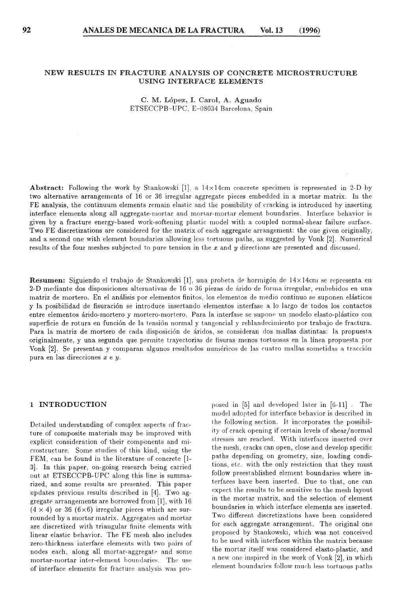## NEW RESULTS IN FRACTURE ANALYSIS OF CONCRETE MICROSTRUCTURE USING INTERFACE ELEMENTS

C. M. López, I. Carol, A. Aguado ETSECCPB-UPC, E-08034 Barcelona, Spaín

**Abstract:** Following the work by Stankowski [1], a  $14 \times 14$ cm concrete specimen is represented in 2-D by two alternative arrangements of 16 or 36 irregular aggregate pieces embedded in a mortar matrix. In the FE analysis, the continuum elements rernain elastic and the possibility of cracking is introduced hy inserting interface elements along all aggregate-mortar and mortar-mortar element boundaries. Interface behavior is given by a fracture energy-based work-softening plastic rnodel with a coupled normal-shear failure surface. Two FE discretizations are considered for the matrix of each aggregate arrangement: the one given originally, and a second one with element boundaries allowing less tortuous paths, as suggested by Vonk [2]. Numerical results of the four meshes subjected to pure tension in the *x* and *y* directions are presented and discussed.

**Resumen:** Siguiendo el trabajo de Stankowski [1], una probeta de hormigón de 14×14cm se representa en 2-D mediante dos disposiciones alternativas de 16 o 3G piezas de árido de forma irregular, embebidos en una matriz de mortero. En el análisis por elementos finitos. los elementos de medio continuo se suponen elásticos y la posibilidad de fisuración se introduce insertando elementos interfase a lo largo de todos los contactos entre elementos árido-mortero y mortero-mortero. Para la interfase se supone un modelo elasto-plástico con superficie de rotura en función de la tensión normal y tangencial y reblandecimiento por trabajo de fractura. Para la matriz de mortero de cada disposición de áridos, se consideran dos mallas distintas: la propuesta originalmente, y una segunda que permite trayectorias de fisuras menos tortuosas en la línea propuesta por Vonk [2]. Se presentan y comparan algunos resultados numéricos de las cuatro mallas sometidas a tracción pura en las direcciones *x* e y.

### 1 INTRODUCTION

Detailed understanding of complex aspects of fracture of composite materials may be improved with explicit consideration of their cornponents and microstructure. Sorne studies of this kind, using the FEM, can be found in the literature of concrete [1- 3]. In this paper, on-going research being carried out at ETSECCPB-UPC along this line is summarized, and some results are presented. This paper updates previous results described in [4]. Two aggregate arrangements are borrowed frorn [1], with 16  $(4 \times 4)$  or 36 (6×6) irregular pieces which are surrounded by a mortar matrix. Aggregates and mortar are discretized with triangular finite elements with linear elastic behavior. The FE mesh also includes zero-thickness interface elements with two pairs of nodes each, along all mortar-aggregate and some mortar-mortar inter-element boundaries. The use of interface elements for fracture analysis was proposed in [5] and developed later in [6-11] . The model adopted for interface behavior is described in the following section. lt incorporates the possibility of crack opening if certain levels of shear/normal stresses are reached. With interfaces inserted over the mesh, cracks can open, close and develop specific paths depending on geometry, size, loading conditions, etc. with the only restriction that they rnust follow preestablished element boundaries where interfaces have been inserted. Due to that, one can expect the results to be sensitive to the mesh layout in the mortar matrix, and the selection of element boundaries in which interface elements are inserted. Two different discretizations have been considered for each aggregate arrangement. The original one proposed by Stankowski, which was not conceived to be used with interfaces within the matrix because the mortar itself was considered elasto-plastic, and a new one inspired in the work of Vonk [2], in which element boundaries follow much less tortuous paths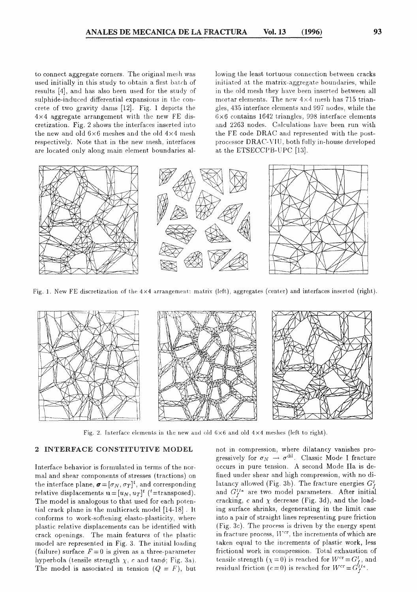to connect aggregate corners. The original mesh was used initially in this study to obtain a first batch of results [4], and has also been used for the study of sulphide-induced differential expansions in the concrete of two gravity dams  $[12]$ . Fig. 1 depicts the  $4\times4$  aggregate arrangement with the new FE discretization. Fig. 2 shows the interfaces inserted iuto the new and old  $6 \times 6$  meshes and the old  $4 \times 4$  mesh respectively. Note that in the new mesh, interfaces are located only along main element boundaries allowing the least tortuous connection between cracks initiated at the matrix-aggregate boundaries, while in the old mesh they have been inserted between all mortar elements. The new  $4\times4$  mesh has 715 triangles, 435 interface elements and 997 nodes, while the  $6 \times 6$  contains 1642 triangles, 998 interface elements and 2263 nodes. Calculations have been run with the FE code DRAC and represented with the postprocessor DRAC- VIU, both fully in-house developed at the ETSECCPB-UPC [13].



Fig. 1. New FE discretization of the  $4 \times 4$  arrangement: matrix (left), aggregates (center) and interfaces inserted (right).



Fig. 2. Interface elements in the new and old  $6 \times 6$  and old  $4 \times 4$  meshes (left to right).

### 2 INTERFACE CONSTITUTIVE MODEL

Interface behavior is formulated in terms of the normal and shear cornponents of stresses ( tractions) on the interface plane,  $\boldsymbol{\sigma} = [\sigma_N, \sigma_T]^t$ , and corresponding relative displacements  $\mathbf{u} = [u_N, u_T]^t$  (<sup>t</sup>=transposed). The model ís analogous to that used for each potential crack plane in the multicrack model  $[14-18]$ . It conforms to work-softening elasto-plasticity, where plastic relative displacements can be identified with crack openings. The main features of the plastic model are represented in Fig. 3. The initial loading (failure) surface  $F=0$  is given as a three-parameter hyperbola (tensile strength  $\chi$ , *c* and tan $\phi$ ; Fig. 3a). The model is associated in tension  $(Q = F)$ , but not in compression, where dilatancy vanishes progressively for  $\sigma_N \to \sigma^{\text{dil}}$ . Classic Mode I fracture occurs in pure tension. A second Mode Ila is defined under shear and high compression, with no dilatancy allowed (Fig. 3b). The fracture energies  $G_f^I$ and  $G_f^{IIa}$  are two model parameters. After initial cracking,  $c$  and  $\chi$  decrease (Fig. 3d), and the loading surface shrinks, degenerating in the limit case into a pair of straight lines representing pure friction  $(Fig. 3c)$ . The process is driven by the energy spent in fracture process,  $W<sup>cr</sup>$ , the increments of which are taken equal to the increments of plastic work, less frictional work in compression. Total exhaustion of tensile strength  $(\chi = 0)$  is reached for  $W^{cr} = G_f^r$ , and residual friction  $(c=0)$  is reached for  $W^{cr} = G_f^{r_{Ia}}$ .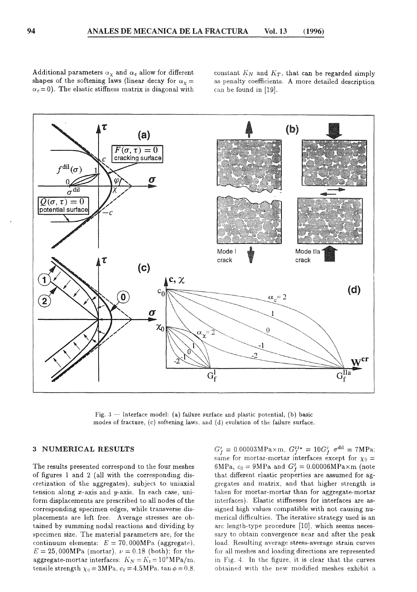Additional parameters  $\alpha_{\chi}$  and  $\alpha_{c}$  allow for different shapes of the softening laws (linear decay for  $\alpha_x =$  $\alpha_c = 0$ ). The elastic stiffness matrix is diagonal with

constant  $K_N$  and  $K_T$ , that can be regarded simply as penalty coefficients. A more detailed description can be found in [19].



Fig.  $3$  - Interface model: (a) failure surface and plastic potential, (b) basic modes of fracture, (c) softening laws, and (d) evolution of the failure surface.

## **3 NUMERICAL RESULTS**

The results presented correspond to the four meshes of figures 1 and 2 ( all with the corresponding discretization of the aggregates), subject to uniaxial tension along  $x$ -axis and  $y$ -axis. In each case, uniform displacements are prescribed to all nodes of the corresponding specimen edges, while transverse displacements are left free. Average stresses are obtained by summing nodal reactions and dividing by specimen size. The material parameters are, for the continuum elements:  $E = 70,000 MPa$  (aggregate),  $E= 25,000MPa$  (mortar),  $\nu = 0.18$  (both); for the aggregate-mortar interfaces:  $K_N = K_t = 10^9 \text{MPa/m}$ , tensile strength  $\chi_0 = 3MPa$ ,  $c_0 = 4.5MPa$ ,  $\tan \phi = 0.8$ ,

 $G_f^{\scriptscriptstyle I} = 0.00003 \mathrm{MPa} \times \mathrm{m}, \; G_f^{\scriptscriptstyle IIa} = 10 G_f^{\scriptscriptstyle I} \; \; \sigma^\text{dil} = 7 \mathrm{MPa};$ same for mortar-mortar interfaces except for  $\chi_0 =$ 6MPa,  $c_0 = 9MPa$  and  $G_f^I = 0.00006MPa \times m$  (note that different elastic properties are assumed for aggregates and matrix, and that higher strength is taken for mortar-mortar than for aggregate-mortar interfaces). Elastic stiffnesses for interfaces are assigned high values compatible with not causing numerical difficulties. The iterative strategy used is an are length-type procedure [10], which seems necessary to obtain convergence near and after the peak load. Resulting average stress-average strain curves for all meshes and loading directions are represented in 4. In the figure, it is clear that the curves obtained with the new modified meshes exhibit a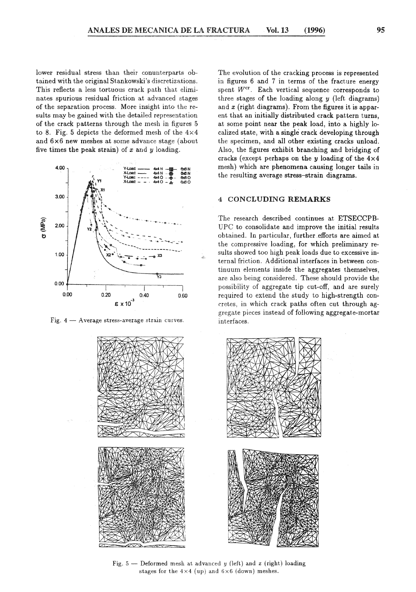lower residual stress than their conunterparts obtained with the original Stankowski's discretizations. This reflects a less tortuous crack path that eliminates spurious residual friction at advanced stages of the separation process. More insight into the results may be gained with the detailed representation of the crack patterns through the mesh in figures 5 to 8. Fig. 5 depicts the deformed mesh of the  $4\times4$ and 6x6 new meshes at sorne advance stage (about five times the peak strain) of *x* and y loading.



Fig.  $4 -$  Average stress-average strain curves.



The evolution of the cracking process is represented in figures 6 and 7 in terms of the fracture energy spent  $W^{cr}$ . Each vertical sequence corresponds to three stages of the loading along  $y$  (left diagrams) and *x* (right diagrams). From the figures it is apparent that an initially distributed crack pattern turns, at sorne point near the peak load, into a highly localized state, with a singlé crack developing through the specimen, and all other existing cracks unload. Also, the figures exhibit branching and bridging of cracks (except perhaps on the y loading of the  $4 \times 4$ mesh) which are phenomena causing longer tails in the resulting average stress-strain diagrama.

# 4 CONCLUDING REMARKS

The research described continues at ETSECCPB-UPC to consolidate and improve the initial results obtained. In particular, further efforts are aimed at the compressive loading, for which preliminary results showed too high peak loads due to excessive interna! friction. Additional interfaces in between continuum elernents inside the aggregates themselves, are also being considered. These should provide the possíbility of aggregate tip cut-off, and are surely required to extend the study to high-strength concretes, in which crack paths often cut through aggregate pieces instead of following aggregate-mortar interfaces.



Fig.  $5$  – Deformed mesh at advanced *y* (left) and *x* (right) loading stages for the  $4\times4$  (up) and  $6\times6$  (down) meshes.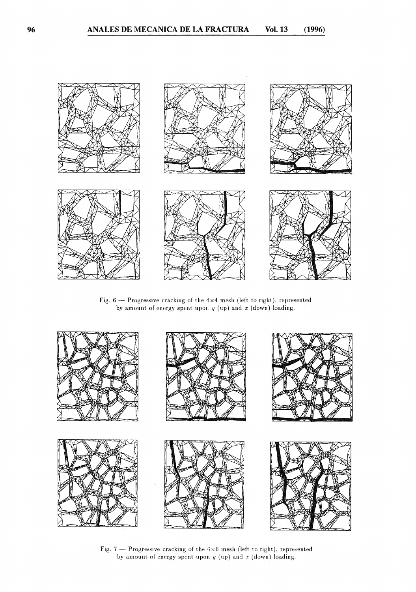

Fig. 6 -- Progressive cracking of the  $4\times4$  mesh (left to right), represented by amount of energy spent upon *y* (up) and *x* (down) loading.



Fig. 7 - Progressive cracking of the  $6\times6$  mesh (left to right), represented by amount of energy spent upon  $y$  (up) and  $x$  (down) loading.